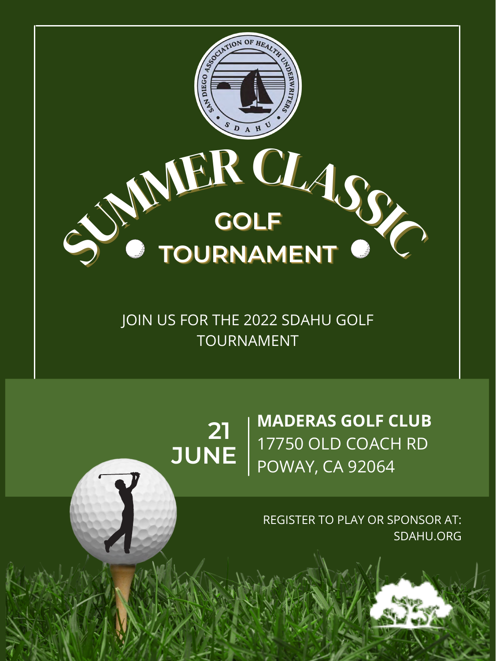## **21 JUNE MADERAS GOLF CLUB** 17750 OLD COACH RD POWAY, CA 92064



REGISTER TO PLAY OR SPONSOR AT: SDAHU.ORG

JOIN US FOR THE 2022 SDAHU GOLF TOURNAMENT